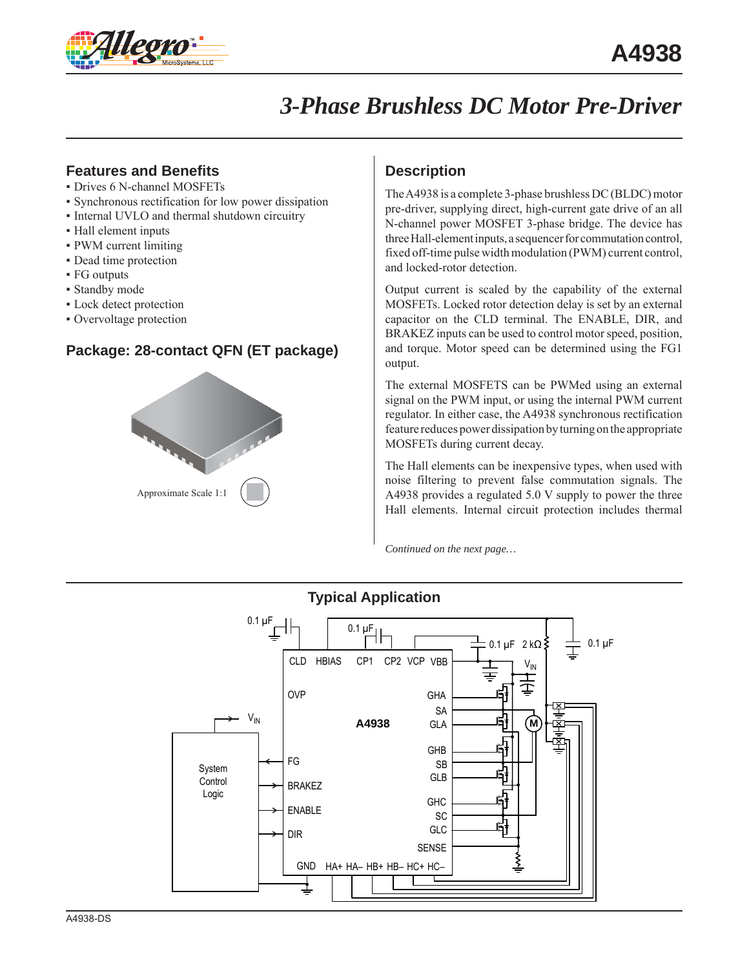

# *3-Phase Brushless DC Motor Pre-Driver*

## **Features and Benefits**

- Drives 6 N-channel MOSFETs
- Synchronous rectification for low power dissipation
- Internal UVLO and thermal shutdown circuitry
- Hall element inputs
- PWM current limiting
- Dead time protection
- FG outputs
- Standby mode
- Lock detect protection
- Overvoltage protection

## **Package: 28-contact QFN (ET package)**



## **Description**

The A4938 is a complete 3-phase brushless DC (BLDC) motor pre-driver, supplying direct, high-current gate drive of an all N-channel power MOSFET 3-phase bridge. The device has three Hall-element inputs, a sequencer for commutation control, fixed off-time pulse width modulation (PWM) current control, and locked-rotor detection.

Output current is scaled by the capability of the external MOSFETs. Locked rotor detection delay is set by an external capacitor on the CLD terminal. The ENABLE, DIR, and BRAKEZ inputs can be used to control motor speed, position, and torque. Motor speed can be determined using the FG1 output.

The external MOSFETS can be PWMed using an external signal on the PWM input, or using the internal PWM current regulator. In either case, the A4938 synchronous rectification feature reduces power dissipation by turning on the appropriate MOSFETs during current decay.

The Hall elements can be inexpensive types, when used with noise filtering to prevent false commutation signals. The A4938 provides a regulated 5.0 V supply to power the three Hall elements. Internal circuit protection includes thermal

*Continued on the next page…*



## **Typical Application**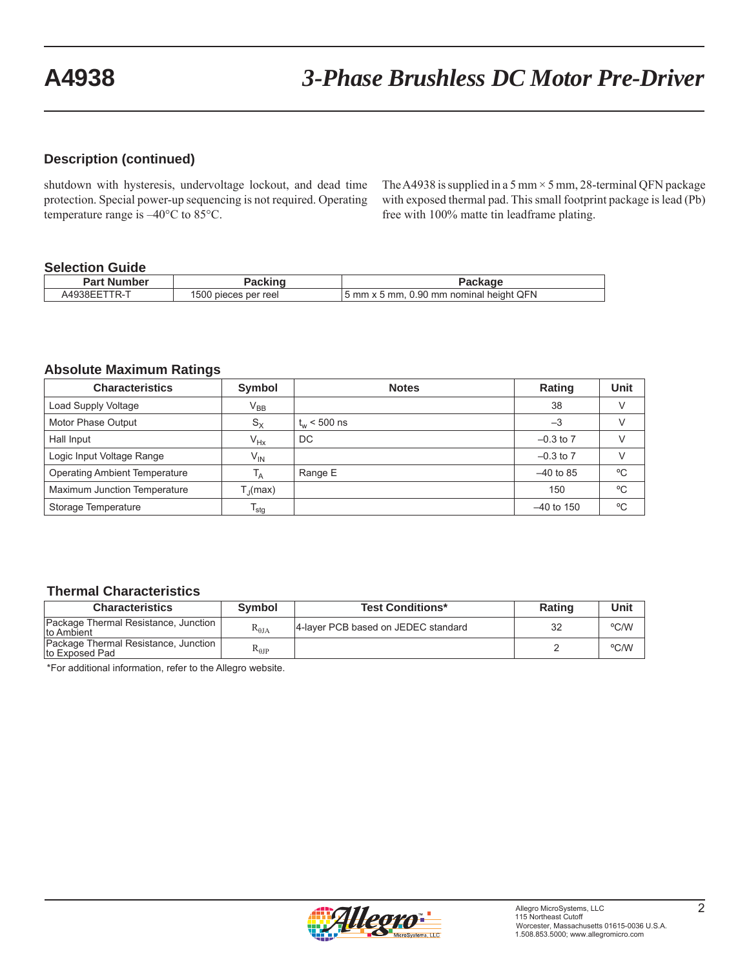### **Description (continued)**

shutdown with hysteresis, undervoltage lockout, and dead time protection. Special power-up sequencing is not required. Operating temperature range is –40°C to 85°C.

The A4938 is supplied in a 5 mm  $\times$  5 mm, 28-terminal QFN package with exposed thermal pad. This small footprint package is lead (Pb) free with 100% matte tin leadframe plating.

#### **Selection Guide**

| Part Number                                       | 'ackind              | Packaqe                                  |
|---------------------------------------------------|----------------------|------------------------------------------|
| $\mathsf{A4938} \mathsf{EFT}^{\mathsf{T}}$<br>TR- | 1500 pieces per reel | 15 mm x 5 mm, 0.90 mm nominal height QFN |

#### **Absolute Maximum Ratings**

| <b>Characteristics</b>               | Symbol                | <b>Notes</b>     | <b>Rating</b> | Unit |
|--------------------------------------|-----------------------|------------------|---------------|------|
| Load Supply Voltage                  | $V_{BB}$              |                  | 38            |      |
| Motor Phase Output                   | $S_{\rm X}$           | $t_{w}$ < 500 ns | $-3$          |      |
| Hall Input                           | $V_{Hx}$              | DC               | $-0.3$ to $7$ |      |
| Logic Input Voltage Range            | $V_{\mathsf{IN}}$     |                  | $-0.3$ to $7$ |      |
| <b>Operating Ambient Temperature</b> | T <sub>A</sub>        | Range E          | $-40$ to 85   | °C   |
| Maximum Junction Temperature         | $T_{\parallel}$ (max) |                  | 150           | °C   |
| Storage Temperature                  | $I_{\text{stg}}$      |                  | $-40$ to 150  | °C   |

#### **Thermal Characteristics**

| <b>Characteristics</b>                                 | <b>Symbol</b>   | <b>Test Conditions*</b>             | <b>Rating</b> | Unit |
|--------------------------------------------------------|-----------------|-------------------------------------|---------------|------|
| Package Thermal Resistance, Junction<br>Ito Ambient    | $R_{\theta,IA}$ | 4-layer PCB based on JEDEC standard | 32            | °C/W |
| Package Thermal Resistance, Junction<br>to Exposed Pad | $R_{\theta}$    |                                     |               | °C/W |

\*For additional information, refer to the Allegro website.

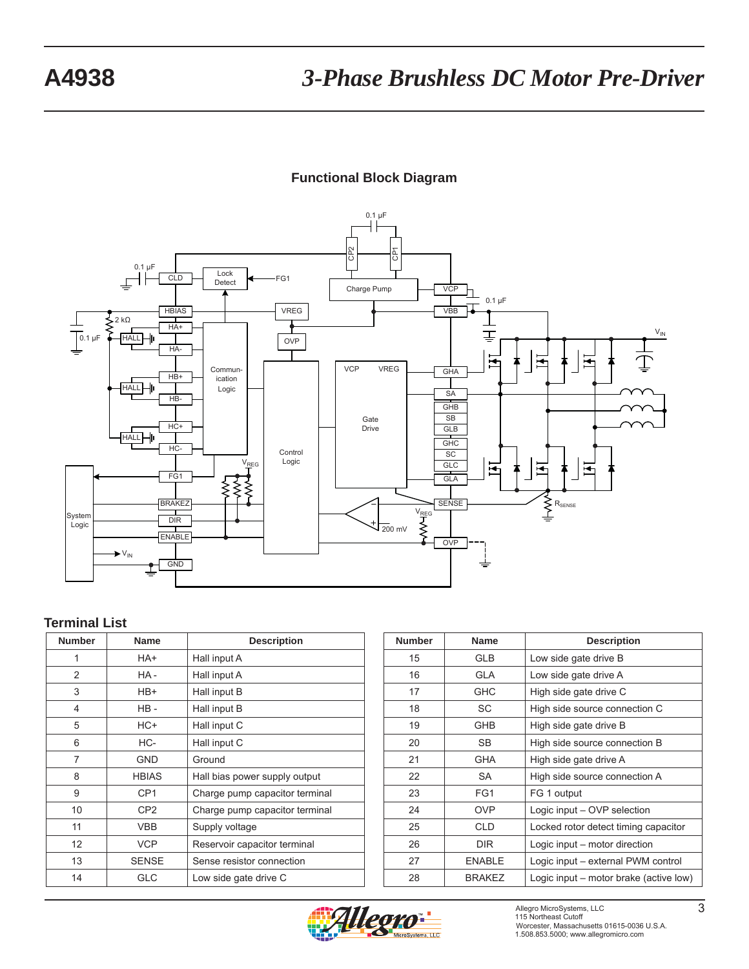## **Functional Block Diagram**



### **Terminal List**

| <b>Number</b>  | <b>Name</b>     | <b>Description</b>             |
|----------------|-----------------|--------------------------------|
| 1              | HA+             | Hall input A                   |
| 2              | HA-             | Hall input A                   |
| 3              | HB+             | Hall input B                   |
| $\overline{4}$ | $HB -$          | Hall input B                   |
| 5              | HC+             | Hall input C                   |
| 6              | HC-             | Hall input C                   |
| 7              | GND             | Ground                         |
| 8              | <b>HBIAS</b>    | Hall bias power supply output  |
| 9              | CP <sub>1</sub> | Charge pump capacitor terminal |
| 10             | CP <sub>2</sub> | Charge pump capacitor terminal |
| 11             | <b>VBB</b>      | Supply voltage                 |
| 12             | <b>VCP</b>      | Reservoir capacitor terminal   |
| 13             | <b>SENSE</b>    | Sense resistor connection      |
| 14             | GLC             | Low side gate drive C          |

| <b>Number</b> | <b>Name</b>   | <b>Description</b>                     |
|---------------|---------------|----------------------------------------|
| 15            | <b>GLB</b>    | Low side gate drive B                  |
| 16            | <b>GLA</b>    | Low side gate drive A                  |
| 17            | <b>GHC</b>    | High side gate drive C                 |
| 18            | SC            | High side source connection C          |
| 19            | <b>GHB</b>    | High side gate drive B                 |
| 20            | SB.           | High side source connection B          |
| 21            | GHA           | High side gate drive A                 |
| 22            | <b>SA</b>     | High side source connection A          |
| 23            | FG1           | FG 1 output                            |
| 24            | <b>OVP</b>    | Logic input - OVP selection            |
| 25            | <b>CLD</b>    | Locked rotor detect timing capacitor   |
| 26            | <b>DIR</b>    | Logic input – motor direction          |
| 27            | <b>ENABLE</b> | Logic input – external PWM control     |
| 28            | <b>BRAKEZ</b> | Logic input – motor brake (active low) |

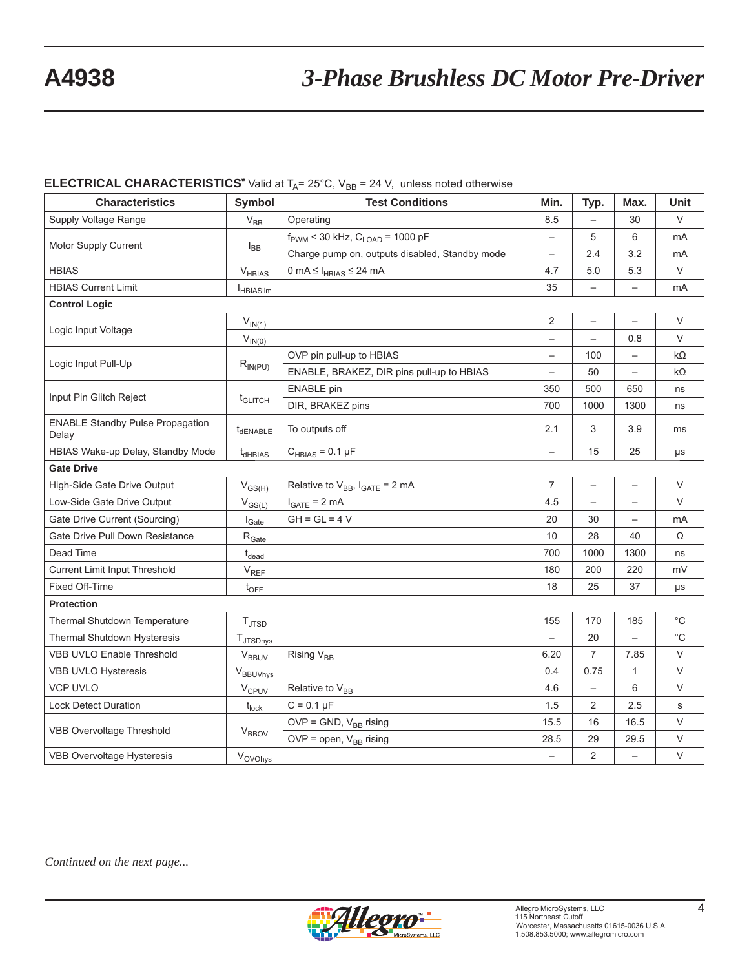# **A4938** *3-Phase Brushless DC Motor Pre-Driver*

## **ELECTRICAL CHARACTERISTICS<sup>\*</sup>** Valid at  $T_A$ = 25°C, V<sub>BB</sub> = 24 V, unless noted otherwise

| <b>Characteristics</b>                           | Symbol                      | <b>Test Conditions</b>                                  | Min.                     | Typ.                     | Max.                     | Unit         |
|--------------------------------------------------|-----------------------------|---------------------------------------------------------|--------------------------|--------------------------|--------------------------|--------------|
| Supply Voltage Range                             | $V_{BB}$                    | Operating                                               | 8.5                      | $\overline{\phantom{0}}$ | 30                       | $\vee$       |
| Motor Supply Current                             |                             | $f_{\text{PWM}}$ < 30 kHz, $C_{\text{LOAD}}$ = 1000 pF  | $\overline{\phantom{0}}$ | 5                        | 6                        | mA           |
|                                                  | $I_{BB}$                    | Charge pump on, outputs disabled, Standby mode          | $\overline{\phantom{0}}$ | 2.4                      | 3.2                      | mA           |
| <b>HBIAS</b>                                     | $V_{HBIAS}$                 | $0 \text{ mA} \leq I_{\text{HBIAS}} \leq 24 \text{ mA}$ | 4.7                      | 5.0                      | 5.3                      | $\vee$       |
| <b>HBIAS Current Limit</b>                       | <b>HBIASlim</b>             |                                                         | 35                       | $\qquad \qquad -$        |                          | mA           |
| <b>Control Logic</b>                             |                             |                                                         |                          |                          |                          |              |
| Logic Input Voltage                              | $V_{IN(1)}$                 |                                                         | $\overline{2}$           | $\overline{\phantom{0}}$ | $\qquad \qquad -$        | V            |
|                                                  | $V_{IN(0)}$                 |                                                         | $\overline{\phantom{0}}$ | $\overline{\phantom{0}}$ | 0.8                      | $\vee$       |
| Logic Input Pull-Up                              |                             | OVP pin pull-up to HBIAS                                | $\overline{\phantom{0}}$ | 100                      | $\overline{\phantom{0}}$ | $k\Omega$    |
|                                                  | $R_{IN(PU)}$                | ENABLE, BRAKEZ, DIR pins pull-up to HBIAS               | $\overline{\phantom{0}}$ | 50                       | $\overline{\phantom{m}}$ | $k\Omega$    |
| Input Pin Glitch Reject                          |                             | <b>ENABLE</b> pin                                       | 350                      | 500                      | 650                      | ns           |
|                                                  | t <sub>GLITCH</sub>         | DIR, BRAKEZ pins                                        | 700                      | 1000                     | 1300                     | ns           |
| <b>ENABLE Standby Pulse Propagation</b><br>Delay | t <sub>dENABLE</sub>        | To outputs off                                          | 2.1                      | 3                        | 3.9                      | ms           |
| HBIAS Wake-up Delay, Standby Mode                | $t_{dHBIAS}$                | $C_{HBIAS} = 0.1 \mu F$                                 | $\overline{\phantom{0}}$ | 15                       | 25                       | μs           |
| <b>Gate Drive</b>                                |                             |                                                         |                          |                          |                          |              |
| High-Side Gate Drive Output                      | $V_{GS(H)}$                 | Relative to $V_{BB}$ , $I_{GATE} = 2 mA$                | $\overline{7}$           | $\overline{\phantom{0}}$ |                          | $\vee$       |
| Low-Side Gate Drive Output                       | $V_{GS(L)}$                 | $I_{GATE}$ = 2 mA                                       | 4.5                      | $\qquad \qquad -$        | $\overline{\phantom{m}}$ | V            |
| Gate Drive Current (Sourcing)                    | $I_{\text{Gate}}$           | $GH = GL = 4 V$                                         | 20                       | 30                       | $\overline{\phantom{m}}$ | mA           |
| Gate Drive Pull Down Resistance                  | $\rm R_{\rm Gate}$          |                                                         | 10                       | 28                       | 40                       | Ω            |
| Dead Time                                        | $t_{dead}$                  |                                                         | 700                      | 1000                     | 1300                     | ns           |
| Current Limit Input Threshold                    | $\mathsf{V}_{\mathsf{REF}}$ |                                                         | 180                      | 200                      | 220                      | mV           |
| Fixed Off-Time                                   | $t_{\text{OFF}}$            |                                                         | 18                       | 25                       | 37                       | μs           |
| <b>Protection</b>                                |                             |                                                         |                          |                          |                          |              |
| Thermal Shutdown Temperature                     | $T_{\text{JTSD}}$           |                                                         | 155                      | 170                      | 185                      | $^{\circ}$ C |
| Thermal Shutdown Hysteresis                      | TJTSDhys                    |                                                         |                          | 20                       |                          | $^{\circ}C$  |
| <b>VBB UVLO Enable Threshold</b>                 | $\rm V_{BBUV}$              | Rising V <sub>BB</sub>                                  | 6.20                     | $\overline{7}$           | 7.85                     | $\vee$       |
| VBB UVLO Hysteresis                              | VBBUVhys                    |                                                         | 0.4                      | 0.75                     | $\mathbf{1}$             | V            |
| <b>VCP UVLO</b>                                  | $V_{CPUV}$                  | Relative to V <sub>BB</sub>                             | 4.6                      | $\overline{\phantom{0}}$ | 6                        | $\vee$       |
| <b>Lock Detect Duration</b>                      | $t_{lock}$                  | $C = 0.1 \mu F$                                         | 1.5                      | $\overline{2}$           | 2.5                      | s            |
|                                                  |                             | $OVP = GND$ , $V_{BB}$ rising                           | 15.5                     | 16                       | 16.5                     | $\vee$       |
| <b>VBB Overvoltage Threshold</b>                 | <b>V<sub>BBOV</sub></b>     | OVP = open, $V_{BB}$ rising                             | 28.5                     | 29                       | 29.5                     | V            |
| <b>VBB Overvoltage Hysteresis</b>                | Vovohys                     |                                                         | $\overline{\phantom{0}}$ | 2                        | $\overline{\phantom{0}}$ | $\vee$       |

*Continued on the next page...*

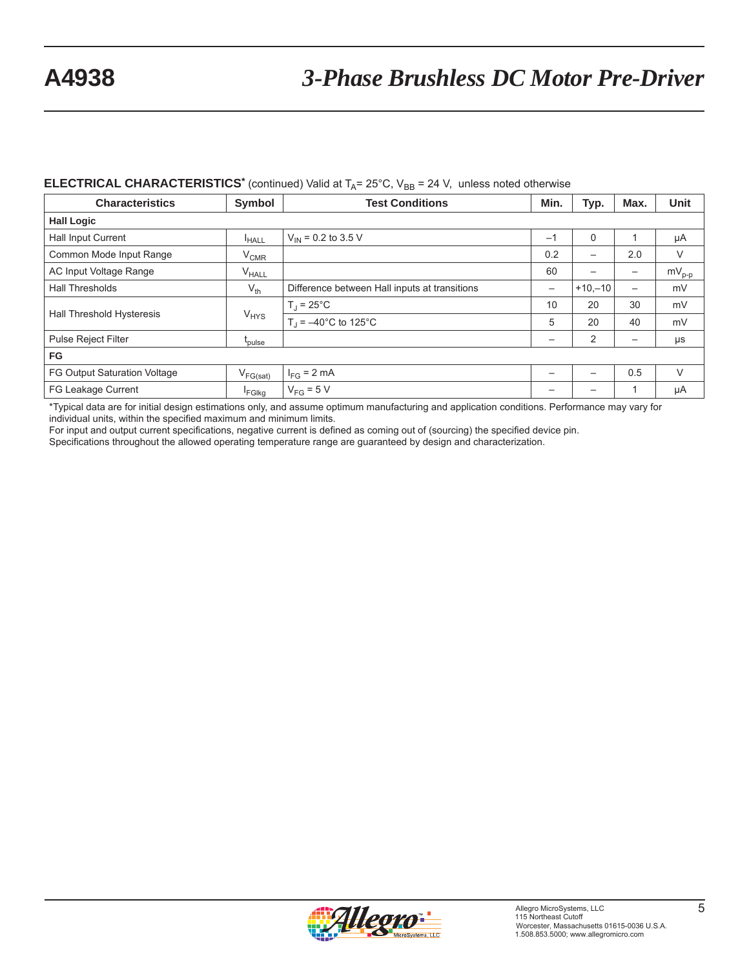# **A4938** *3-Phase Brushless DC Motor Pre-Driver*

### **ELECTRICAL CHARACTERISTICS<sup>\*</sup>** (continued) Valid at  $T_A = 25^\circ$ C, V<sub>BB</sub> = 24 V, unless noted otherwise

| <b>Characteristics</b>              | Symbol             | <b>Test Conditions</b>                        | Min. | Typ.      | Max.                     | <b>Unit</b> |
|-------------------------------------|--------------------|-----------------------------------------------|------|-----------|--------------------------|-------------|
| <b>Hall Logic</b>                   |                    |                                               |      |           |                          |             |
| Hall Input Current                  | <sup>I</sup> HALL  | $V_{\text{IN}}$ = 0.2 to 3.5 V                | $-1$ | $\Omega$  |                          | μA          |
| Common Mode Input Range             | $V_{CMR}$          |                                               | 0.2  | —         | 2.0                      | V           |
| AC Input Voltage Range              | $V_{HALL}$         |                                               | 60   | —         | $\qquad \qquad$          | $mV_{p-p}$  |
| <b>Hall Thresholds</b>              | $V_{th}$           | Difference between Hall inputs at transitions | -    | $+10,-10$ | $\overline{\phantom{0}}$ | mV          |
| Hall Threshold Hysteresis           | $V_{HYS}$          | $T_J = 25^{\circ}C$                           | 10   | 20        | 30                       | mV          |
|                                     |                    | $T_1 = -40^{\circ}$ C to 125°C                | 5    | 20        | 40                       | mV          |
| <b>Pulse Reject Filter</b>          | t <sub>pulse</sub> |                                               | —    | 2         | $\overline{\phantom{0}}$ | $\mu s$     |
| <b>FG</b>                           |                    |                                               |      |           |                          |             |
| <b>FG Output Saturation Voltage</b> | $V_{FG(sat)}$      | $I_{FG}$ = 2 mA                               |      | —         | 0.5                      | V           |
| FG Leakage Current                  | <b>FGIkg</b>       | $V_{FG} = 5 V$                                |      |           |                          | μA          |

\*Typical data are for initial design estimations only, and assume optimum manufacturing and application conditions. Performance may vary for individual units, within the specified maximum and minimum limits.

For input and output current specifications, negative current is defined as coming out of (sourcing) the specified device pin.

Specifications throughout the allowed operating temperature range are guaranteed by design and characterization.

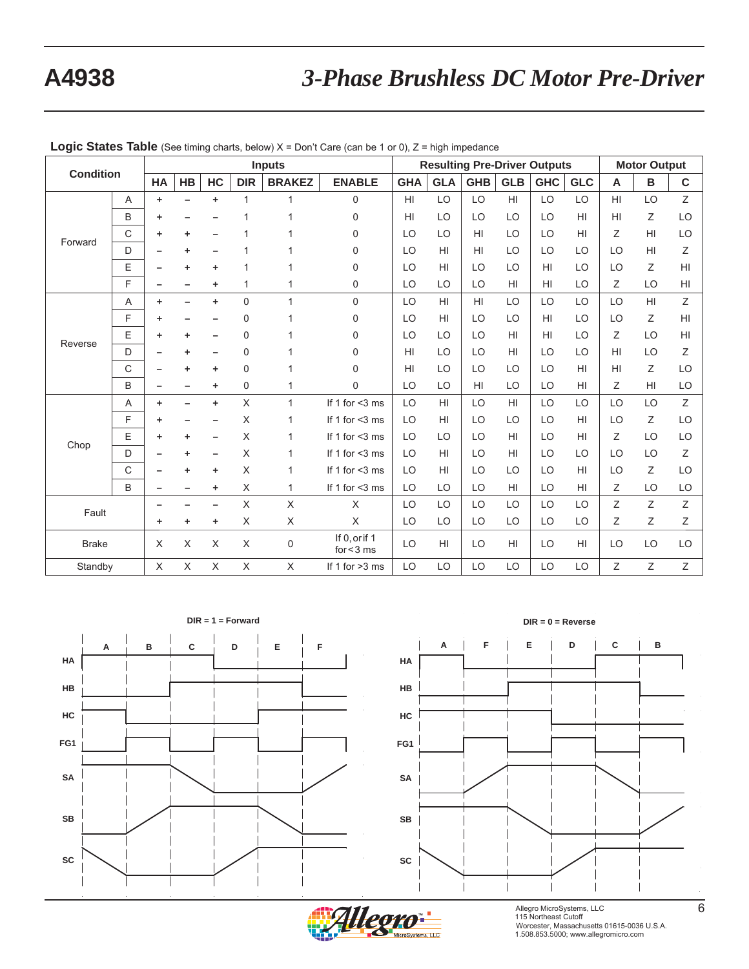| <b>Condition</b> |   | <b>Inputs</b> |    |          |                           |                           | <b>Resulting Pre-Driver Outputs</b> |                 |            |                |                 |            | <b>Motor Output</b> |                 |                |             |
|------------------|---|---------------|----|----------|---------------------------|---------------------------|-------------------------------------|-----------------|------------|----------------|-----------------|------------|---------------------|-----------------|----------------|-------------|
|                  |   | HA            | HB | HC       | <b>DIR</b>                | <b>BRAKEZ</b>             | <b>ENABLE</b>                       | <b>GHA</b>      | <b>GLA</b> | <b>GHB</b>     | <b>GLB</b>      | <b>GHC</b> | <b>GLC</b>          | A               | В              | $\mathbf c$ |
|                  | Α | ٠             |    | ٠        | 1                         |                           | 0                                   | H <sub>II</sub> | LO         | LO             | H <sub>l</sub>  | LO         | LO                  | H <sub>II</sub> | LO             | Z           |
|                  | B | ٠             |    |          |                           |                           | $\Omega$                            | H <sub>II</sub> | LO         | LO             | LO              | LO         | H <sub>l</sub>      | H <sub>II</sub> | Ζ              | LO          |
| Forward          | C | ٠             | ٠  |          |                           |                           | 0                                   | LO              | LO         | HI             | LO              | LO         | HI                  | Ζ               | H <sub>l</sub> | LO          |
|                  | D |               | ٠  |          |                           |                           | 0                                   | LO              | HI         | HI             | LO              | LO         | LO                  | LO              | H <sub>l</sub> | Ζ           |
|                  | E |               | ٠  |          |                           |                           | 0                                   | LO              | HI         | LO             | LO              | HI         | LO                  | LO              | Ζ              | HI          |
|                  | F |               |    | ٠        | 1                         |                           | 0                                   | LO              | LO         | LO             | H <sub>II</sub> | HI         | LO                  | Ζ               | LO             | HI          |
|                  | Α | ٠             |    | ÷        | 0                         | 1                         | $\Omega$                            | LO              | HI         | H1             | LO              | LO         | LO                  | LO              | H1             | Ζ           |
|                  | F | ٠             |    |          | 0                         |                           | $\Omega$                            | LO              | HI         | LO             | LO              | HI         | LO                  | LO              | Ζ              | HI          |
| Reverse          | E | ٠             | ٠  |          | 0                         |                           | 0                                   | LO              | LO         | LO             | H <sub>l</sub>  | HI         | LO                  | Ζ               | LO             | HI          |
|                  | D |               | ٠  |          | 0                         |                           | 0                                   | H <sub>II</sub> | LO         | LO             | HI              | LO         | LO                  | HI              | LO             | Ζ           |
|                  | C |               | ٠  | ٠        | 0                         |                           | 0                                   | H <sub>II</sub> | LO         | LO             | LO              | LO         | H <sub>l</sub>      | HI              | Ζ              | LO          |
|                  | B |               |    | ٠        | 0                         | 1                         | 0                                   | LO              | LO         | H <sub>l</sub> | LO              | LO         | H <sub>l</sub>      | Ζ               | HI             | LO          |
|                  | Α | ÷             |    | ٠        | $\boldsymbol{\mathsf{X}}$ | $\mathbf{1}$              | If 1 for <3 ms                      | LO              | HI         | LO             | H <sub>l</sub>  | LO         | LO                  | LO              | LO             | Z           |
|                  | F | ٠             |    |          | X                         | 1                         | If 1 for $<$ 3 ms                   | LO              | HI         | LO             | LO              | LO         | H <sub>l</sub>      | LO              | Ζ              | LO          |
| Chop             | E | ٠             | ٠  |          | X                         | 1                         | If 1 for $<$ 3 ms                   | LO              | LO         | LO             | HI              | LO         | H <sub>l</sub>      | Ζ               | LO             | LO          |
|                  | D |               | ٠  |          | X                         | 1                         | If 1 for $<$ 3 ms                   | LO              | HI         | LO             | HI              | LO         | LO                  | LO              | LO             | Ζ           |
|                  | C |               | ٠  | ٠        | X                         | 1                         | If 1 for $<$ 3 ms                   | LO              | HI         | LO             | LO              | LO         | H <sub>l</sub>      | LO              | Z              | LO          |
|                  | B |               |    | ÷        | X                         | 1                         | If 1 for $<$ 3 ms                   | LO              | LO         | LO             | HI              | LO         | H <sub>l</sub>      | Z               | LO             | LO          |
| Fault            |   |               |    |          | X                         | $\boldsymbol{\mathsf{X}}$ | $\times$                            | LO              | LO         | LO             | LO              | LO         | LO                  | Z               | Z              | Z           |
|                  |   | ٠             | ٠  | ٠        | X                         | X                         | $\times$                            | LO              | LO         | LO             | LO              | LO         | LO                  | Ζ               | Ζ              | Ζ           |
| <b>Brake</b>     |   | X             | X  | X        | X                         | 0                         | If 0, or if 1<br>for $<$ 3 ms       | LO              | HI         | LO             | H1              | LO         | H <sub>l</sub>      | LO              | LO             | LO          |
| Standby          |   | X             | X  | $\times$ | $\times$                  | X                         | If 1 for $>3$ ms                    | LO              | LO         | LO             | LO              | LO         | LO                  | Z               | Ζ              | Ζ           |

**Logic States Table** (See timing charts, below) X = Don't Care (can be 1 or 0), Z = high impedance







Allegro MicroSystems, LLC 6 115 Northeast Cutoff 6 115 Northeast Cutoff 6 115 Northeast Cutoff 6 12 Worcester, Massachusetts 01615-0036 U.S.A. 1.508.853.5000; www.allegromicro.com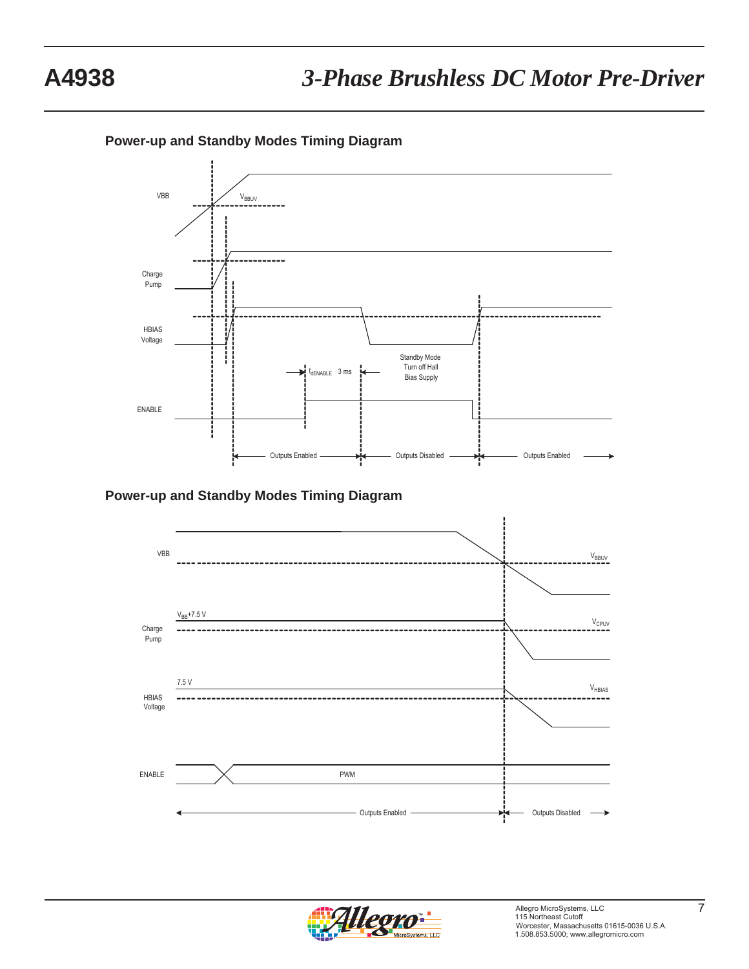**Power-up and Standby Modes Timing Diagram**



**Power-up and Standby Modes Timing Diagram**



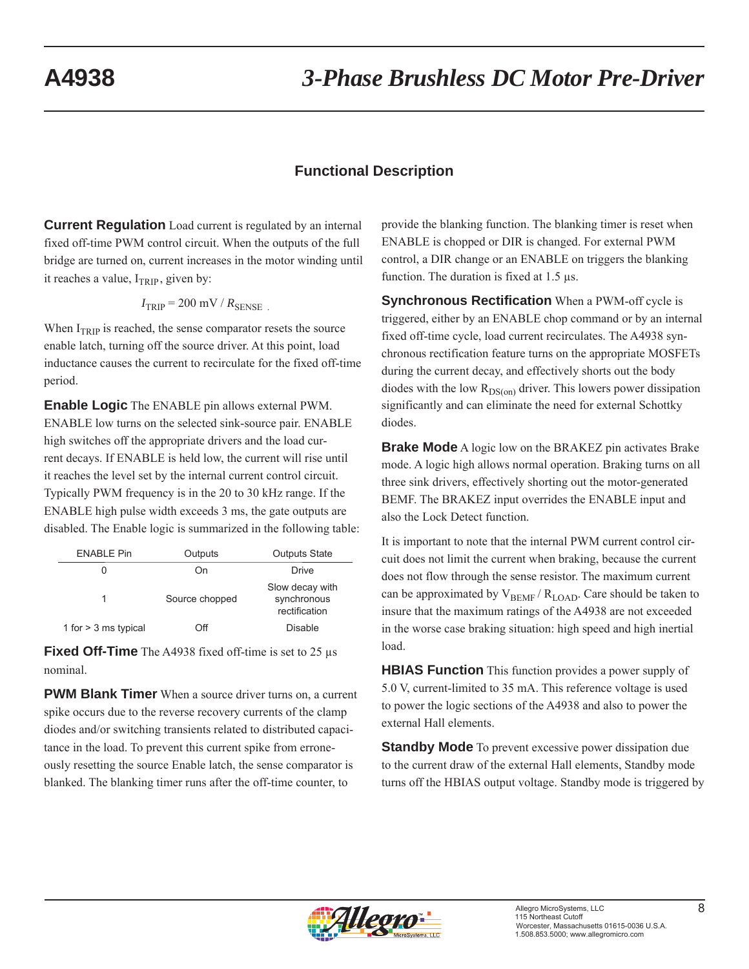## **Functional Description**

**Current Regulation** Load current is regulated by an internal fixed off-time PWM control circuit. When the outputs of the full bridge are turned on, current increases in the motor winding until it reaches a value,  $I_{TRIP}$ , given by:

$$
I_{\rm TRIP} = 200 \, \text{mV} / R_{\rm SENSE}
$$

When  $I_{TRIP}$  is reached, the sense comparator resets the source enable latch, turning off the source driver. At this point, load inductance causes the current to recirculate for the fixed off-time period.

**Enable Logic** The ENABLE pin allows external PWM. ENABLE low turns on the selected sink-source pair. ENABLE high switches off the appropriate drivers and the load current decays. If ENABLE is held low, the current will rise until it reaches the level set by the internal current control circuit. Typically PWM frequency is in the 20 to 30 kHz range. If the ENABLE high pulse width exceeds 3 ms, the gate outputs are disabled. The Enable logic is summarized in the following table:

| <b>ENABLE Pin</b>      | Outputs        | <b>Outputs State</b>                            |
|------------------------|----------------|-------------------------------------------------|
|                        | On             | Drive                                           |
|                        | Source chopped | Slow decay with<br>synchronous<br>rectification |
| 1 for $>$ 3 ms typical | ∩ff            | Disable                                         |

**Fixed Off-Time** The A4938 fixed off-time is set to 25 μs nominal.

**PWM Blank Timer** When a source driver turns on, a current spike occurs due to the reverse recovery currents of the clamp diodes and/or switching transients related to distributed capacitance in the load. To prevent this current spike from erroneously resetting the source Enable latch, the sense comparator is blanked. The blanking timer runs after the off-time counter, to

provide the blanking function. The blanking timer is reset when ENABLE is chopped or DIR is changed. For external PWM control, a DIR change or an ENABLE on triggers the blanking function. The duration is fixed at 1.5 μs.

**Synchronous Rectification** When a PWM-off cycle is triggered, either by an ENABLE chop command or by an internal fixed off-time cycle, load current recirculates. The A4938 synchronous rectification feature turns on the appropriate MOSFETs during the current decay, and effectively shorts out the body diodes with the low  $R_{DS(on)}$  driver. This lowers power dissipation significantly and can eliminate the need for external Schottky diodes.

**Brake Mode** A logic low on the BRAKEZ pin activates Brake mode. A logic high allows normal operation. Braking turns on all three sink drivers, effectively shorting out the motor-generated BEMF. The BRAKEZ input overrides the ENABLE input and also the Lock Detect function.

It is important to note that the internal PWM current control circuit does not limit the current when braking, because the current does not flow through the sense resistor. The maximum current can be approximated by  $V_{BEMF} / R_{LOAD}$ . Care should be taken to insure that the maximum ratings of the A4938 are not exceeded in the worse case braking situation: high speed and high inertial load.

**HBIAS Function** This function provides a power supply of 5.0 V, current-limited to 35 mA. This reference voltage is used to power the logic sections of the A4938 and also to power the external Hall elements.

**Standby Mode** To prevent excessive power dissipation due to the current draw of the external Hall elements, Standby mode turns off the HBIAS output voltage. Standby mode is triggered by

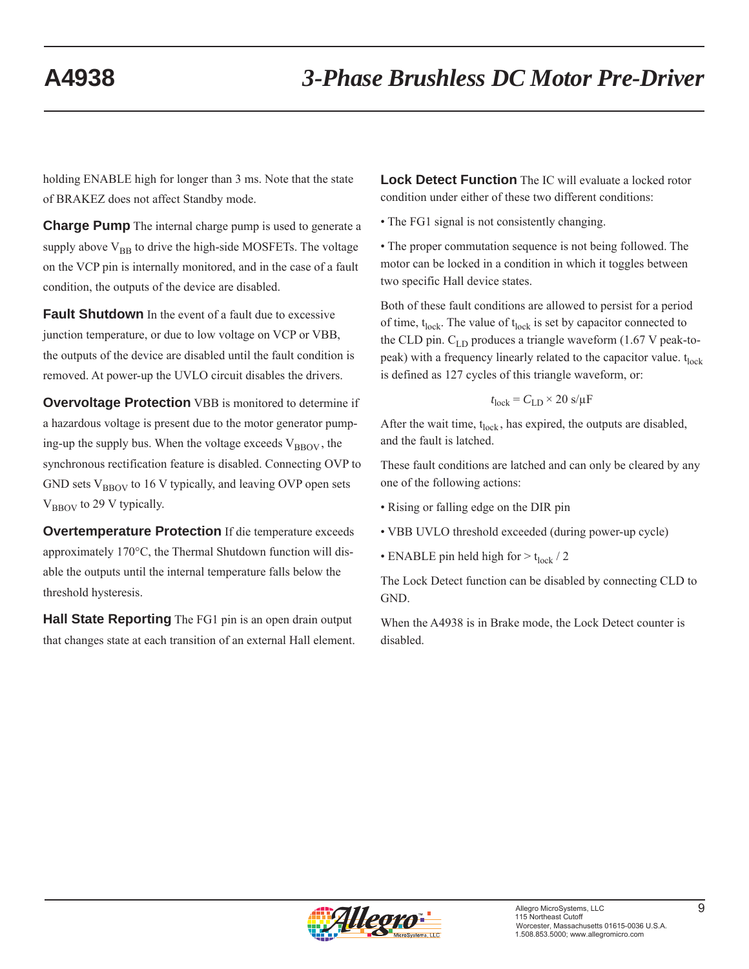holding ENABLE high for longer than 3 ms. Note that the state of BRAKEZ does not affect Standby mode.

**Charge Pump** The internal charge pump is used to generate a supply above  $V_{BB}$  to drive the high-side MOSFETs. The voltage on the VCP pin is internally monitored, and in the case of a fault condition, the outputs of the device are disabled.

**Fault Shutdown** In the event of a fault due to excessive junction temperature, or due to low voltage on VCP or VBB, the outputs of the device are disabled until the fault condition is removed. At power-up the UVLO circuit disables the drivers.

**Overvoltage Protection** VBB is monitored to determine if a hazardous voltage is present due to the motor generator pumping-up the supply bus. When the voltage exceeds  $V_{\text{BBOV}}$ , the synchronous rectification feature is disabled. Connecting OVP to GND sets  $V_{\text{BBOV}}$  to 16 V typically, and leaving OVP open sets V<sub>BBOV</sub> to 29 V typically.

**Overtemperature Protection** If die temperature exceeds approximately 170°C, the Thermal Shutdown function will disable the outputs until the internal temperature falls below the threshold hysteresis.

**Hall State Reporting** The FG1 pin is an open drain output that changes state at each transition of an external Hall element. **Lock Detect Function** The IC will evaluate a locked rotor condition under either of these two different conditions:

• The FG1 signal is not consistently changing.

• The proper commutation sequence is not being followed. The motor can be locked in a condition in which it toggles between two specific Hall device states.

Both of these fault conditions are allowed to persist for a period of time,  $t_{lock}$ . The value of  $t_{lock}$  is set by capacitor connected to the CLD pin.  $C_{LD}$  produces a triangle waveform (1.67 V peak-topeak) with a frequency linearly related to the capacitor value.  $t_{lock}$ is defined as 127 cycles of this triangle waveform, or:

$$
t_{\text{lock}} = C_{\text{LD}} \times 20 \text{ s}/\mu\text{F}
$$

After the wait time,  $t_{lock}$ , has expired, the outputs are disabled, and the fault is latched.

These fault conditions are latched and can only be cleared by any one of the following actions:

- Rising or falling edge on the DIR pin
- VBB UVLO threshold exceeded (during power-up cycle)
- ENABLE pin held high for  $> t_{lock}$  / 2

The Lock Detect function can be disabled by connecting CLD to GND.

When the A4938 is in Brake mode, the Lock Detect counter is disabled.